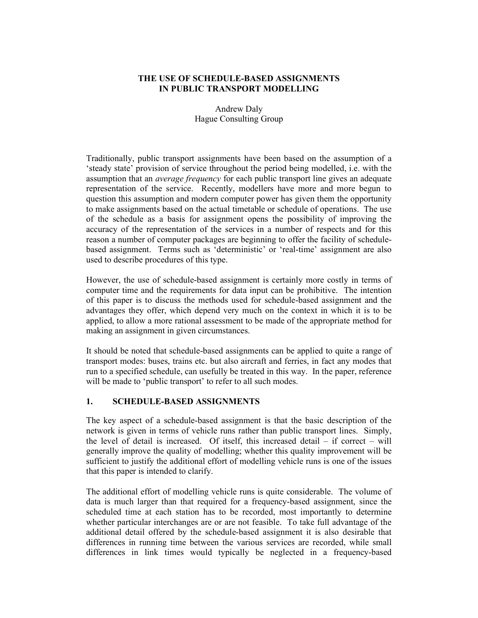## THE USE OF SCHEDULE-BASED ASSIGNMENTS IN PUBLIC TRANSPORT MODELLING

## Andrew Daly Hague Consulting Group

Traditionally, public transport assignments have been based on the assumption of a 'steady state' provision of service throughout the period being modelled, i.e. with the assumption that an *average frequency* for each public transport line gives an adequate representation of the service. Recently, modellers have more and more begun to question this assumption and modern computer power has given them the opportunity to make assignments based on the actual timetable or schedule of operations. The use of the schedule as a basis for assignment opens the possibility of improving the accuracy of the representation of the services in a number of respects and for this reason a number of computer packages are beginning to offer the facility of schedulebased assignment. Terms such as 'deterministic' or 'real-time' assignment are also used to describe procedures of this type.

However, the use of schedule-based assignment is certainly more costly in terms of computer time and the requirements for data input can be prohibitive. The intention of this paper is to discuss the methods used for schedule-based assignment and the advantages they offer, which depend very much on the context in which it is to be applied, to allow a more rational assessment to be made of the appropriate method for making an assignment in given circumstances.

It should be noted that schedule-based assignments can be applied to quite a range of transport modes: buses, trains etc. but also aircraft and ferries, in fact any modes that run to a specified schedule, can usefully be treated in this way. In the paper, reference will be made to 'public transport' to refer to all such modes.

# 1. SCHEDULE-BASED ASSIGNMENTS

The key aspect of a schedule-based assignment is that the basic description of the network is given in terms of vehicle runs rather than public transport lines. Simply, the level of detail is increased. Of itself, this increased detail – if correct – will generally improve the quality of modelling; whether this quality improvement will be sufficient to justify the additional effort of modelling vehicle runs is one of the issues that this paper is intended to clarify.

The additional effort of modelling vehicle runs is quite considerable. The volume of data is much larger than that required for a frequency-based assignment, since the scheduled time at each station has to be recorded, most importantly to determine whether particular interchanges are or are not feasible. To take full advantage of the additional detail offered by the schedule-based assignment it is also desirable that differences in running time between the various services are recorded, while small differences in link times would typically be neglected in a frequency-based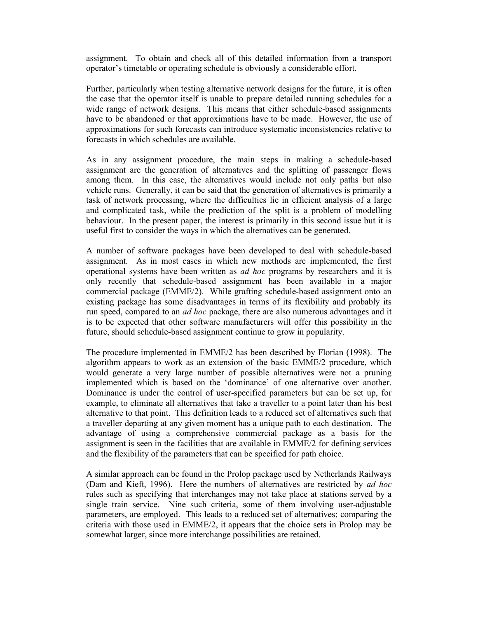assignment. To obtain and check all of this detailed information from a transport operator's timetable or operating schedule is obviously a considerable effort.

Further, particularly when testing alternative network designs for the future, it is often the case that the operator itself is unable to prepare detailed running schedules for a wide range of network designs. This means that either schedule-based assignments have to be abandoned or that approximations have to be made. However, the use of approximations for such forecasts can introduce systematic inconsistencies relative to forecasts in which schedules are available.

As in any assignment procedure, the main steps in making a schedule-based assignment are the generation of alternatives and the splitting of passenger flows among them. In this case, the alternatives would include not only paths but also vehicle runs. Generally, it can be said that the generation of alternatives is primarily a task of network processing, where the difficulties lie in efficient analysis of a large and complicated task, while the prediction of the split is a problem of modelling behaviour. In the present paper, the interest is primarily in this second issue but it is useful first to consider the ways in which the alternatives can be generated.

A number of software packages have been developed to deal with schedule-based assignment. As in most cases in which new methods are implemented, the first operational systems have been written as ad hoc programs by researchers and it is only recently that schedule-based assignment has been available in a major commercial package (EMME/2). While grafting schedule-based assignment onto an existing package has some disadvantages in terms of its flexibility and probably its run speed, compared to an *ad hoc* package, there are also numerous advantages and it is to be expected that other software manufacturers will offer this possibility in the future, should schedule-based assignment continue to grow in popularity.

The procedure implemented in EMME/2 has been described by Florian (1998). The algorithm appears to work as an extension of the basic EMME/2 procedure, which would generate a very large number of possible alternatives were not a pruning implemented which is based on the 'dominance' of one alternative over another. Dominance is under the control of user-specified parameters but can be set up, for example, to eliminate all alternatives that take a traveller to a point later than his best alternative to that point. This definition leads to a reduced set of alternatives such that a traveller departing at any given moment has a unique path to each destination. The advantage of using a comprehensive commercial package as a basis for the assignment is seen in the facilities that are available in EMME/2 for defining services and the flexibility of the parameters that can be specified for path choice.

A similar approach can be found in the Prolop package used by Netherlands Railways (Dam and Kieft, 1996). Here the numbers of alternatives are restricted by *ad hoc* rules such as specifying that interchanges may not take place at stations served by a single train service. Nine such criteria, some of them involving user-adjustable parameters, are employed. This leads to a reduced set of alternatives; comparing the criteria with those used in EMME/2, it appears that the choice sets in Prolop may be somewhat larger, since more interchange possibilities are retained.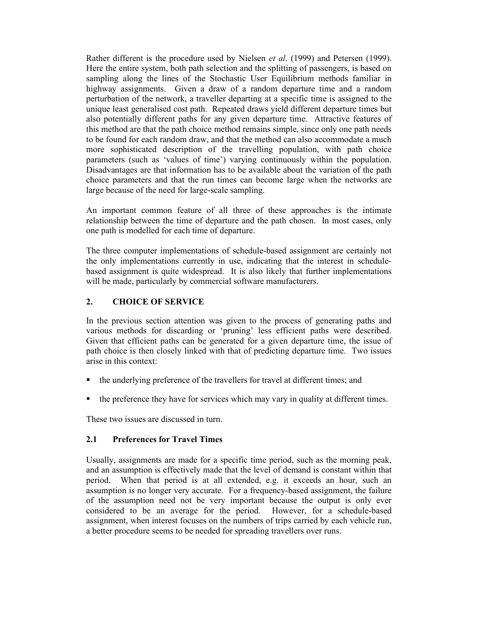Rather different is the procedure used by Nielsen et al. (1999) and Petersen (1999). Here the entire system, both path selection and the splitting of passengers, is based on sampling along the lines of the Stochastic User Equilibrium methods familiar in highway assignments. Given a draw of a random departure time and a random perturbation of the network, a traveller departing at a specific time is assigned to the unique least generalised cost path. Repeated draws yield different departure times but also potentially different paths for any given departure time. Attractive features of this method are that the path choice method remains simple, since only one path needs to be found for each random draw, and that the method can also accommodate a much more sophisticated description of the travelling population, with path choice parameters (such as 'values of time') varying continuously within the population. Disadvantages are that information has to be available about the variation of the path choice parameters and that the run times can become large when the networks are large because of the need for large-scale sampling.

An important common feature of all three of these approaches is the intimate relationship between the time of departure and the path chosen. In most cases, only one path is modelled for each time of departure.

The three computer implementations of schedule-based assignment are certainly not the only implementations currently in use, indicating that the interest in schedulebased assignment is quite widespread. It is also likely that further implementations will be made, particularly by commercial software manufacturers.

## 2. CHOICE OF SERVICE

In the previous section attention was given to the process of generating paths and various methods for discarding or 'pruning' less efficient paths were described. Given that efficient paths can be generated for a given departure time, the issue of path choice is then closely linked with that of predicting departure time. Two issues arise in this context:

- $\blacksquare$  the underlying preference of the travellers for travel at different times; and
- the preference they have for services which may vary in quality at different times.

These two issues are discussed in turn.

#### 2.1 Preferences for Travel Times

Usually, assignments are made for a specific time period, such as the morning peak, and an assumption is effectively made that the level of demand is constant within that period. When that period is at all extended, e.g. it exceeds an hour, such an assumption is no longer very accurate. For a frequency-based assignment, the failure of the assumption need not be very important because the output is only ever considered to be an average for the period. However, for a schedule-based assignment, when interest focuses on the numbers of trips carried by each vehicle run, a better procedure seems to be needed for spreading travellers over runs.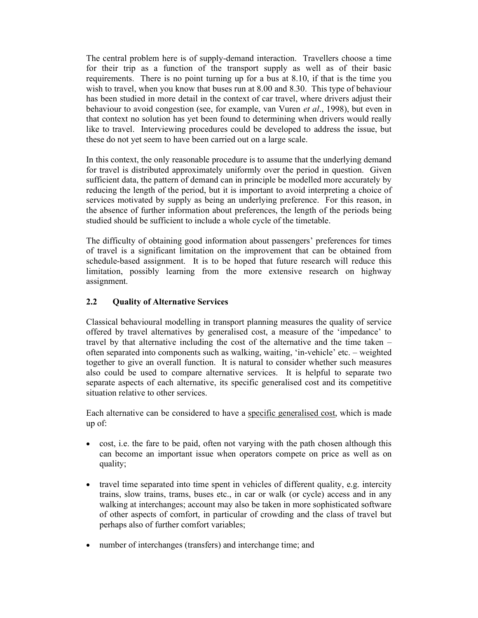The central problem here is of supply-demand interaction. Travellers choose a time for their trip as a function of the transport supply as well as of their basic requirements. There is no point turning up for a bus at 8.10, if that is the time you wish to travel, when you know that buses run at 8.00 and 8.30. This type of behaviour has been studied in more detail in the context of car travel, where drivers adjust their behaviour to avoid congestion (see, for example, van Vuren et al., 1998), but even in that context no solution has yet been found to determining when drivers would really like to travel. Interviewing procedures could be developed to address the issue, but these do not yet seem to have been carried out on a large scale.

In this context, the only reasonable procedure is to assume that the underlying demand for travel is distributed approximately uniformly over the period in question. Given sufficient data, the pattern of demand can in principle be modelled more accurately by reducing the length of the period, but it is important to avoid interpreting a choice of services motivated by supply as being an underlying preference. For this reason, in the absence of further information about preferences, the length of the periods being studied should be sufficient to include a whole cycle of the timetable.

The difficulty of obtaining good information about passengers' preferences for times of travel is a significant limitation on the improvement that can be obtained from schedule-based assignment. It is to be hoped that future research will reduce this limitation, possibly learning from the more extensive research on highway assignment.

# 2.2 Quality of Alternative Services

Classical behavioural modelling in transport planning measures the quality of service offered by travel alternatives by generalised cost, a measure of the 'impedance' to travel by that alternative including the cost of the alternative and the time taken – often separated into components such as walking, waiting, 'in-vehicle' etc. – weighted together to give an overall function. It is natural to consider whether such measures also could be used to compare alternative services. It is helpful to separate two separate aspects of each alternative, its specific generalised cost and its competitive situation relative to other services.

Each alternative can be considered to have a specific generalised cost, which is made up of:

- cost, i.e. the fare to be paid, often not varying with the path chosen although this can become an important issue when operators compete on price as well as on quality;
- travel time separated into time spent in vehicles of different quality, e.g. intercity trains, slow trains, trams, buses etc., in car or walk (or cycle) access and in any walking at interchanges; account may also be taken in more sophisticated software of other aspects of comfort, in particular of crowding and the class of travel but perhaps also of further comfort variables;
- number of interchanges (transfers) and interchange time; and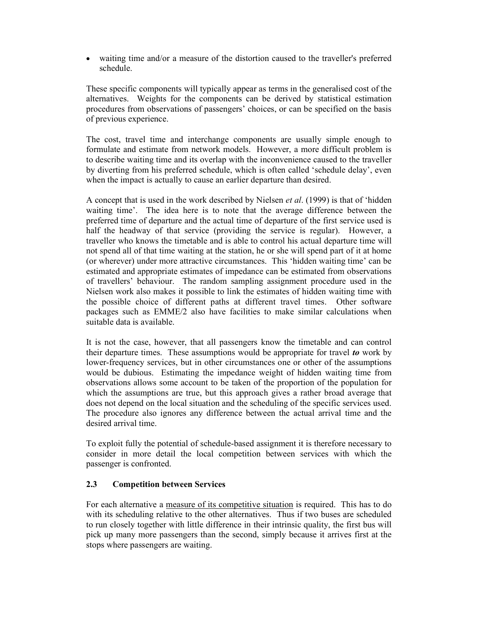waiting time and/or a measure of the distortion caused to the traveller's preferred schedule.

These specific components will typically appear as terms in the generalised cost of the alternatives. Weights for the components can be derived by statistical estimation procedures from observations of passengers' choices, or can be specified on the basis of previous experience.

The cost, travel time and interchange components are usually simple enough to formulate and estimate from network models. However, a more difficult problem is to describe waiting time and its overlap with the inconvenience caused to the traveller by diverting from his preferred schedule, which is often called 'schedule delay', even when the impact is actually to cause an earlier departure than desired.

A concept that is used in the work described by Nielsen *et al.* (1999) is that of 'hidden waiting time'. The idea here is to note that the average difference between the preferred time of departure and the actual time of departure of the first service used is half the headway of that service (providing the service is regular). However, a traveller who knows the timetable and is able to control his actual departure time will not spend all of that time waiting at the station, he or she will spend part of it at home (or wherever) under more attractive circumstances. This 'hidden waiting time' can be estimated and appropriate estimates of impedance can be estimated from observations of travellers' behaviour. The random sampling assignment procedure used in the Nielsen work also makes it possible to link the estimates of hidden waiting time with the possible choice of different paths at different travel times. Other software packages such as EMME/2 also have facilities to make similar calculations when suitable data is available.

It is not the case, however, that all passengers know the timetable and can control their departure times. These assumptions would be appropriate for travel to work by lower-frequency services, but in other circumstances one or other of the assumptions would be dubious. Estimating the impedance weight of hidden waiting time from observations allows some account to be taken of the proportion of the population for which the assumptions are true, but this approach gives a rather broad average that does not depend on the local situation and the scheduling of the specific services used. The procedure also ignores any difference between the actual arrival time and the desired arrival time.

To exploit fully the potential of schedule-based assignment it is therefore necessary to consider in more detail the local competition between services with which the passenger is confronted.

#### 2.3 Competition between Services

For each alternative a measure of its competitive situation is required. This has to do with its scheduling relative to the other alternatives. Thus if two buses are scheduled to run closely together with little difference in their intrinsic quality, the first bus will pick up many more passengers than the second, simply because it arrives first at the stops where passengers are waiting.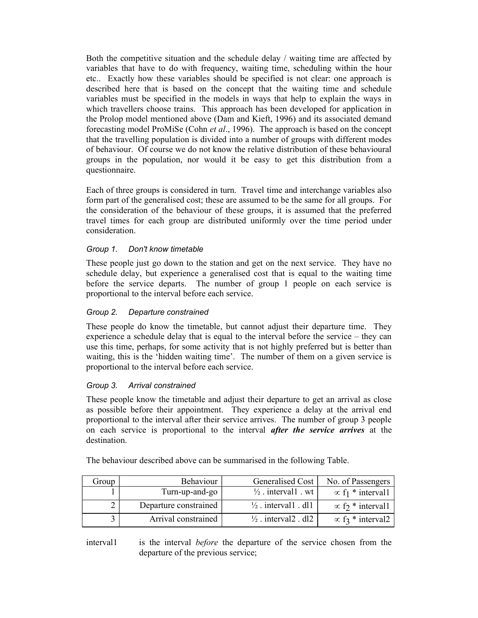Both the competitive situation and the schedule delay / waiting time are affected by variables that have to do with frequency, waiting time, scheduling within the hour etc.. Exactly how these variables should be specified is not clear: one approach is described here that is based on the concept that the waiting time and schedule variables must be specified in the models in ways that help to explain the ways in which travellers choose trains. This approach has been developed for application in the Prolop model mentioned above (Dam and Kieft, 1996) and its associated demand forecasting model ProMiSe (Cohn et al., 1996). The approach is based on the concept that the travelling population is divided into a number of groups with different modes of behaviour. Of course we do not know the relative distribution of these behavioural groups in the population, nor would it be easy to get this distribution from a questionnaire.

Each of three groups is considered in turn. Travel time and interchange variables also form part of the generalised cost; these are assumed to be the same for all groups. For the consideration of the behaviour of these groups, it is assumed that the preferred travel times for each group are distributed uniformly over the time period under consideration.

## Group 1. Don't know timetable

These people just go down to the station and get on the next service. They have no schedule delay, but experience a generalised cost that is equal to the waiting time before the service departs. The number of group 1 people on each service is proportional to the interval before each service.

## Group 2. Departure constrained

These people do know the timetable, but cannot adjust their departure time. They experience a schedule delay that is equal to the interval before the service – they can use this time, perhaps, for some activity that is not highly preferred but is better than waiting, this is the 'hidden waiting time'. The number of them on a given service is proportional to the interval before each service.

#### Group 3. Arrival constrained

These people know the timetable and adjust their departure to get an arrival as close as possible before their appointment. They experience a delay at the arrival end proportional to the interval after their service arrives. The number of group 3 people on each service is proportional to the interval *after the service arrives* at the destination.

| Group | Behaviour             | Generalised Cost                | No. of Passengers                    |
|-------|-----------------------|---------------------------------|--------------------------------------|
|       | Turn-up-and-go        | $\frac{1}{2}$ . intervall wt    | $\propto$ f <sub>1</sub> * interval1 |
|       | Departure constrained | $\frac{1}{2}$ . interval1 . dl1 | $\propto$ f <sub>2</sub> * interval1 |
|       | Arrival constrained   | $\frac{1}{2}$ . interval2 . dl2 | $\propto$ f <sub>3</sub> * interval2 |

The behaviour described above can be summarised in the following Table.

interval is the interval *before* the departure of the service chosen from the departure of the previous service;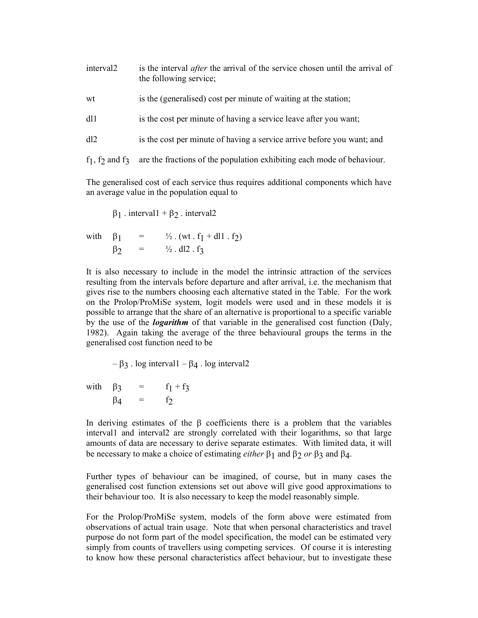| interval <sub>2</sub> | is the interval <i>after</i> the arrival of the service chosen until the arrival of<br>the following service; |  |  |
|-----------------------|---------------------------------------------------------------------------------------------------------------|--|--|
| wt                    | is the (generalised) cost per minute of waiting at the station;                                               |  |  |
| dl1                   | is the cost per minute of having a service leave after you want;                                              |  |  |

dl2 is the cost per minute of having a service arrive before you want; and

 $f_1$ ,  $f_2$  and  $f_3$  are the fractions of the population exhibiting each mode of behaviour.

The generalised cost of each service thus requires additional components which have an average value in the population equal to

$$
\beta_1 \text{ . interval} 1 + \beta_2 \text{ . interval} 2
$$

with  $\beta_1 = \frac{1}{2} \cdot (wt \cdot f_1 + dl \cdot f_2)$  $\beta_2 = \frac{1}{2}$ . dl2. f<sub>3</sub>

It is also necessary to include in the model the intrinsic attraction of the services resulting from the intervals before departure and after arrival, i.e. the mechanism that gives rise to the numbers choosing each alternative stated in the Table. For the work on the Prolop/ProMiSe system, logit models were used and in these models it is possible to arrange that the share of an alternative is proportional to a specific variable by the use of the *logarithm* of that variable in the generalised cost function (Daly, 1982). Again taking the average of the three behavioural groups the terms in the generalised cost function need to be

 $-\beta_3$ . log interval1 –  $\beta_4$ . log interval2

with  $\beta_3 = f_1 + f_3$  $\beta_4$  = f<sub>2</sub>

In deriving estimates of the  $\beta$  coefficients there is a problem that the variables interval1 and interval2 are strongly correlated with their logarithms, so that large amounts of data are necessary to derive separate estimates. With limited data, it will be necessary to make a choice of estimating *either*  $\beta_1$  and  $\beta_2$  or  $\beta_3$  and  $\beta_4$ .

Further types of behaviour can be imagined, of course, but in many cases the generalised cost function extensions set out above will give good approximations to their behaviour too. It is also necessary to keep the model reasonably simple.

For the Prolop/ProMiSe system, models of the form above were estimated from observations of actual train usage. Note that when personal characteristics and travel purpose do not form part of the model specification, the model can be estimated very simply from counts of travellers using competing services. Of course it is interesting to know how these personal characteristics affect behaviour, but to investigate these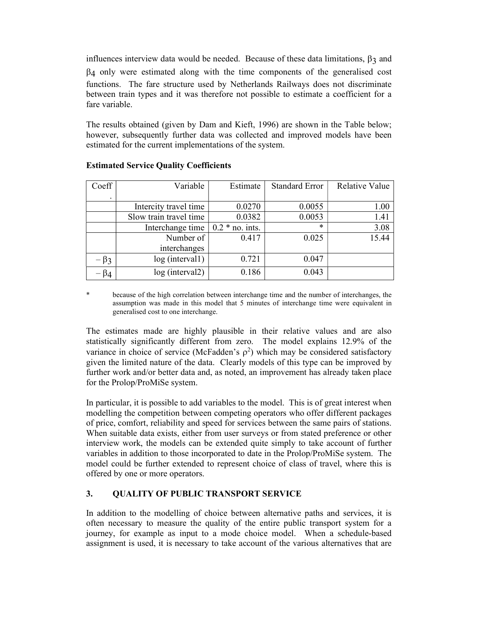influences interview data would be needed. Because of these data limitations,  $\beta_3$  and  $\beta_4$  only were estimated along with the time components of the generalised cost functions. The fare structure used by Netherlands Railways does not discriminate between train types and it was therefore not possible to estimate a coefficient for a fare variable.

The results obtained (given by Dam and Kieft, 1996) are shown in the Table below; however, subsequently further data was collected and improved models have been estimated for the current implementations of the system.

| Coeff      | Variable               | Estimate           | <b>Standard Error</b> | <b>Relative Value</b> |
|------------|------------------------|--------------------|-----------------------|-----------------------|
| ٠          |                        |                    |                       |                       |
|            | Intercity travel time  | 0.0270             | 0.0055                | 1.00                  |
|            | Slow train travel time | 0.0382             | 0.0053                | 1.41                  |
|            | Interchange time       | $0.2 * no$ . ints. | ж                     | 3.08                  |
|            | Number of              | 0.417              | 0.025                 | 15.44                 |
|            | interchanges           |                    |                       |                       |
| $-\beta_3$ | log (interval1)        | 0.721              | 0.047                 |                       |
| $-\beta_4$ | $log$ (interval2)      | 0.186              | 0.043                 |                       |

# Estimated Service Quality Coefficients

\* because of the high correlation between interchange time and the number of interchanges, the assumption was made in this model that 5 minutes of interchange time were equivalent in generalised cost to one interchange.

The estimates made are highly plausible in their relative values and are also statistically significantly different from zero. The model explains 12.9% of the variance in choice of service (McFadden's  $\rho^2$ ) which may be considered satisfactory given the limited nature of the data. Clearly models of this type can be improved by further work and/or better data and, as noted, an improvement has already taken place for the Prolop/ProMiSe system.

In particular, it is possible to add variables to the model. This is of great interest when modelling the competition between competing operators who offer different packages of price, comfort, reliability and speed for services between the same pairs of stations. When suitable data exists, either from user surveys or from stated preference or other interview work, the models can be extended quite simply to take account of further variables in addition to those incorporated to date in the Prolop/ProMiSe system. The model could be further extended to represent choice of class of travel, where this is offered by one or more operators.

# 3. QUALITY OF PUBLIC TRANSPORT SERVICE

In addition to the modelling of choice between alternative paths and services, it is often necessary to measure the quality of the entire public transport system for a journey, for example as input to a mode choice model. When a schedule-based assignment is used, it is necessary to take account of the various alternatives that are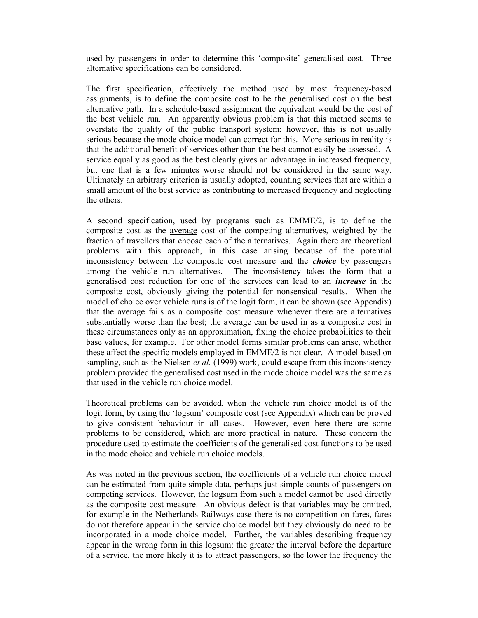used by passengers in order to determine this 'composite' generalised cost. Three alternative specifications can be considered.

The first specification, effectively the method used by most frequency-based assignments, is to define the composite cost to be the generalised cost on the best alternative path. In a schedule-based assignment the equivalent would be the cost of the best vehicle run. An apparently obvious problem is that this method seems to overstate the quality of the public transport system; however, this is not usually serious because the mode choice model can correct for this. More serious in reality is that the additional benefit of services other than the best cannot easily be assessed. A service equally as good as the best clearly gives an advantage in increased frequency, but one that is a few minutes worse should not be considered in the same way. Ultimately an arbitrary criterion is usually adopted, counting services that are within a small amount of the best service as contributing to increased frequency and neglecting the others.

A second specification, used by programs such as EMME/2, is to define the composite cost as the average cost of the competing alternatives, weighted by the fraction of travellers that choose each of the alternatives. Again there are theoretical problems with this approach, in this case arising because of the potential inconsistency between the composite cost measure and the *choice* by passengers among the vehicle run alternatives. The inconsistency takes the form that a generalised cost reduction for one of the services can lead to an increase in the composite cost, obviously giving the potential for nonsensical results. When the model of choice over vehicle runs is of the logit form, it can be shown (see Appendix) that the average fails as a composite cost measure whenever there are alternatives substantially worse than the best; the average can be used in as a composite cost in these circumstances only as an approximation, fixing the choice probabilities to their base values, for example. For other model forms similar problems can arise, whether these affect the specific models employed in EMME/2 is not clear. A model based on sampling, such as the Nielsen et al.  $(1999)$  work, could escape from this inconsistency problem provided the generalised cost used in the mode choice model was the same as that used in the vehicle run choice model.

Theoretical problems can be avoided, when the vehicle run choice model is of the logit form, by using the 'logsum' composite cost (see Appendix) which can be proved to give consistent behaviour in all cases. However, even here there are some problems to be considered, which are more practical in nature. These concern the procedure used to estimate the coefficients of the generalised cost functions to be used in the mode choice and vehicle run choice models.

As was noted in the previous section, the coefficients of a vehicle run choice model can be estimated from quite simple data, perhaps just simple counts of passengers on competing services. However, the logsum from such a model cannot be used directly as the composite cost measure. An obvious defect is that variables may be omitted, for example in the Netherlands Railways case there is no competition on fares, fares do not therefore appear in the service choice model but they obviously do need to be incorporated in a mode choice model. Further, the variables describing frequency appear in the wrong form in this logsum: the greater the interval before the departure of a service, the more likely it is to attract passengers, so the lower the frequency the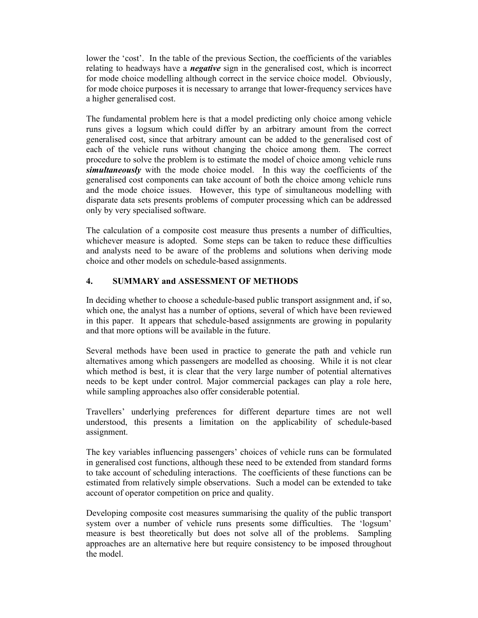lower the 'cost'. In the table of the previous Section, the coefficients of the variables relating to headways have a *negative* sign in the generalised cost, which is incorrect for mode choice modelling although correct in the service choice model. Obviously, for mode choice purposes it is necessary to arrange that lower-frequency services have a higher generalised cost.

The fundamental problem here is that a model predicting only choice among vehicle runs gives a logsum which could differ by an arbitrary amount from the correct generalised cost, since that arbitrary amount can be added to the generalised cost of each of the vehicle runs without changing the choice among them. The correct procedure to solve the problem is to estimate the model of choice among vehicle runs simultaneously with the mode choice model. In this way the coefficients of the generalised cost components can take account of both the choice among vehicle runs and the mode choice issues. However, this type of simultaneous modelling with disparate data sets presents problems of computer processing which can be addressed only by very specialised software.

The calculation of a composite cost measure thus presents a number of difficulties, whichever measure is adopted. Some steps can be taken to reduce these difficulties and analysts need to be aware of the problems and solutions when deriving mode choice and other models on schedule-based assignments.

## 4. SUMMARY and ASSESSMENT OF METHODS

In deciding whether to choose a schedule-based public transport assignment and, if so, which one, the analyst has a number of options, several of which have been reviewed in this paper. It appears that schedule-based assignments are growing in popularity and that more options will be available in the future.

Several methods have been used in practice to generate the path and vehicle run alternatives among which passengers are modelled as choosing. While it is not clear which method is best, it is clear that the very large number of potential alternatives needs to be kept under control. Major commercial packages can play a role here, while sampling approaches also offer considerable potential.

Travellers' underlying preferences for different departure times are not well understood, this presents a limitation on the applicability of schedule-based assignment.

The key variables influencing passengers' choices of vehicle runs can be formulated in generalised cost functions, although these need to be extended from standard forms to take account of scheduling interactions. The coefficients of these functions can be estimated from relatively simple observations. Such a model can be extended to take account of operator competition on price and quality.

Developing composite cost measures summarising the quality of the public transport system over a number of vehicle runs presents some difficulties. The 'logsum' measure is best theoretically but does not solve all of the problems. Sampling approaches are an alternative here but require consistency to be imposed throughout the model.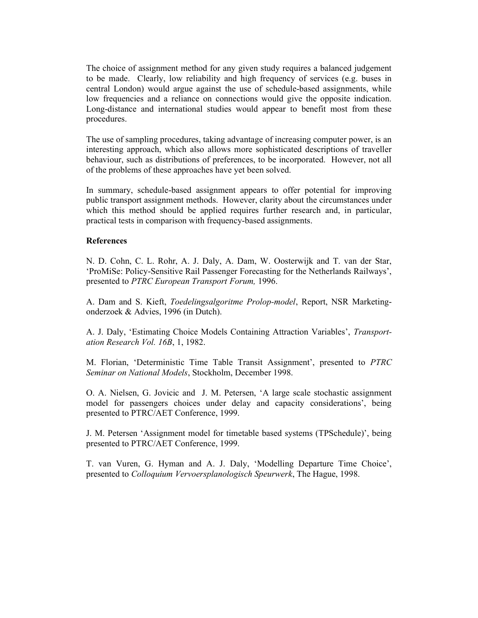The choice of assignment method for any given study requires a balanced judgement to be made. Clearly, low reliability and high frequency of services (e.g. buses in central London) would argue against the use of schedule-based assignments, while low frequencies and a reliance on connections would give the opposite indication. Long-distance and international studies would appear to benefit most from these procedures.

The use of sampling procedures, taking advantage of increasing computer power, is an interesting approach, which also allows more sophisticated descriptions of traveller behaviour, such as distributions of preferences, to be incorporated. However, not all of the problems of these approaches have yet been solved.

In summary, schedule-based assignment appears to offer potential for improving public transport assignment methods. However, clarity about the circumstances under which this method should be applied requires further research and, in particular, practical tests in comparison with frequency-based assignments.

#### References

N. D. Cohn, C. L. Rohr, A. J. Daly, A. Dam, W. Oosterwijk and T. van der Star, 'ProMiSe: Policy-Sensitive Rail Passenger Forecasting for the Netherlands Railways', presented to PTRC European Transport Forum, 1996.

A. Dam and S. Kieft, Toedelingsalgoritme Prolop-model, Report, NSR Marketingonderzoek & Advies, 1996 (in Dutch).

A. J. Daly, 'Estimating Choice Models Containing Attraction Variables', Transportation Research Vol. 16B, 1, 1982.

M. Florian, 'Deterministic Time Table Transit Assignment', presented to PTRC Seminar on National Models, Stockholm, December 1998.

O. A. Nielsen, G. Jovicic and J. M. Petersen, 'A large scale stochastic assignment model for passengers choices under delay and capacity considerations', being presented to PTRC/AET Conference, 1999.

J. M. Petersen 'Assignment model for timetable based systems (TPSchedule)', being presented to PTRC/AET Conference, 1999.

T. van Vuren, G. Hyman and A. J. Daly, 'Modelling Departure Time Choice', presented to Colloquium Vervoersplanologisch Speurwerk, The Hague, 1998.